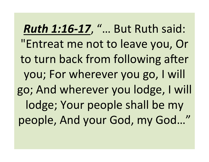**Ruth 1:16-17, "... But Ruth said:** "Entreat me not to leave you, Or to turn back from following after you; For wherever you go, I will go; And wherever you lodge, I will lodge; Your people shall be my people, And your God, my God..."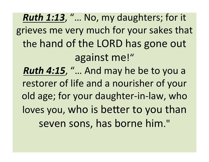*Ruth 1:13, "... No, my daughters; for it* grieves me very much for your sakes that the hand of the LORD has gone out against me!" **Ruth 4:15, "... And may he be to you a** restorer of life and a nourisher of your old age; for your daughter-in-law, who loves you, who is better to you than seven sons, has borne him."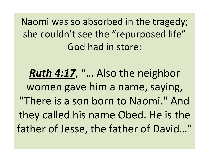Naomi was so absorbed in the tragedy; she couldn't see the "repurposed life" God had in store:

**Ruth 4:17, "... Also the neighbor** women gave him a name, saying, "There is a son born to Naomi." And they called his name Obed. He is the father of Jesse, the father of David..."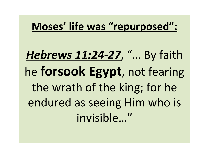## Moses' life was "repurposed":

*Hebrews 11:24-27*, "… By faith he **forsook Egypt**, not fearing the wrath of the king; for he endured as seeing Him who is invisible…"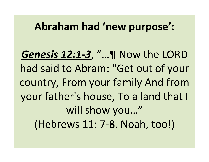## Abraham had 'new purpose':

*Genesis 12:1-3, "...***]** Now the LORD had said to Abram: "Get out of your country, From your family And from your father's house, To a land that I will show you..." (Hebrews 11: 7-8, Noah, too!)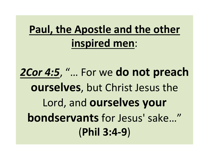## **Paul, the Apostle and the other inspired men**:

2Cor 4:5, "... For we do not preach **ourselves**, but Christ Jesus the Lord, and **ourselves** your **bondservants** for Jesus' sake..." (**Phil 3:4-9**)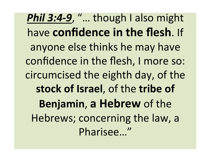**Phil 3:4-9**, "... though I also might have **confidence in the flesh**. If anyone else thinks he may have confidence in the flesh, I more so: circumcised the eighth day, of the stock of Israel, of the tribe of **Benjamin, a Hebrew of the** Hebrews; concerning the law, a Pharisee…"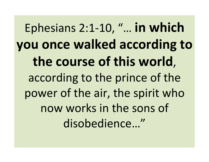Ephesians 2:1-10, "... in which **you once walked according to** the course of this world, according to the prince of the power of the air, the spirit who now works in the sons of disobedience…"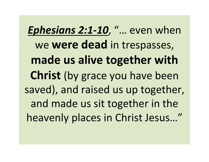*Ephesians 2:1-10, "...* even when we **were dead** in trespasses, made us alive together with **Christ** (by grace you have been saved), and raised us up together, and made us sit together in the heavenly places in Christ Jesus..."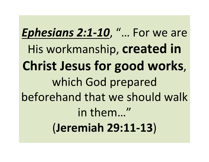*Ephesians 2:1-10, "... For we are* His workmanship, **created in Christ Jesus for good works,** which God prepared beforehand that we should walk in them..." (**Jeremiah 29:11-13**)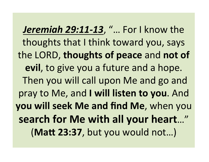*Jeremiah 29:11-13, "...* For I know the thoughts that I think toward you, says the LORD, thoughts of peace and not of **evil**, to give you a future and a hope. Then you will call upon Me and go and pray to Me, and I will listen to you. And **you will seek Me and find Me, when you** search for Me with all your heart..." (Matt 23:37, but you would not...)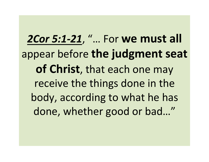**2Cor 5:1-21, "... For we must all** appear before the judgment seat of Christ, that each one may receive the things done in the body, according to what he has done, whether good or bad..."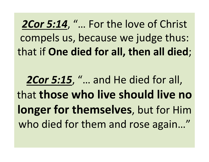2Cor 5:14, "... For the love of Christ compels us, because we judge thus: that if One died for all, then all died;

2Cor 5:15, "... and He died for all, **that those who live should live no longer for themselves**, but for Him who died for them and rose again..."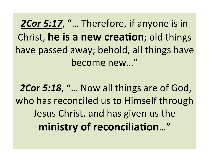**2Cor 5:17, "... Therefore, if anyone is in** Christ, **he is a new creation**; old things have passed away; behold, all things have become new..."

**2Cor 5:18, "... Now all things are of God,** who has reconciled us to Himself through Jesus Christ, and has given us the ministry of reconciliation..."